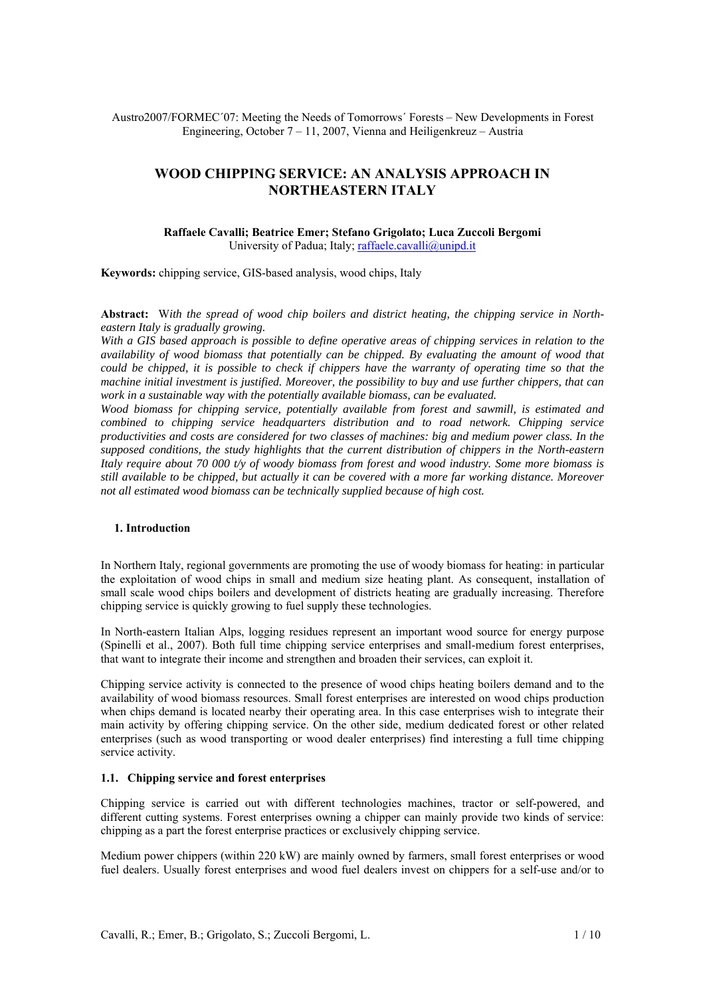Austro2007/FORMEC´07: Meeting the Needs of Tomorrows´ Forests – New Developments in Forest Engineering, October 7 – 11, 2007, Vienna and Heiligenkreuz – Austria

# **WOOD CHIPPING SERVICE: AN ANALYSIS APPROACH IN NORTHEASTERN ITALY**

## **Raffaele Cavalli; Beatrice Emer; Stefano Grigolato; Luca Zuccoli Bergomi**  University of Padua; Italy; raffaele.cavalli@unipd.it

**Keywords:** chipping service, GIS-based analysis, wood chips, Italy

**Abstract:** W*ith the spread of wood chip boilers and district heating, the chipping service in Northeastern Italy is gradually growing.* 

*With a GIS based approach is possible to define operative areas of chipping services in relation to the availability of wood biomass that potentially can be chipped. By evaluating the amount of wood that could be chipped, it is possible to check if chippers have the warranty of operating time so that the machine initial investment is justified. Moreover, the possibility to buy and use further chippers, that can work in a sustainable way with the potentially available biomass, can be evaluated.* 

*Wood biomass for chipping service, potentially available from forest and sawmill, is estimated and combined to chipping service headquarters distribution and to road network. Chipping service productivities and costs are considered for two classes of machines: big and medium power class. In the supposed conditions, the study highlights that the current distribution of chippers in the North-eastern Italy require about 70 000 t/y of woody biomass from forest and wood industry. Some more biomass is still available to be chipped, but actually it can be covered with a more far working distance. Moreover not all estimated wood biomass can be technically supplied because of high cost.* 

#### **1. Introduction**

In Northern Italy, regional governments are promoting the use of woody biomass for heating: in particular the exploitation of wood chips in small and medium size heating plant. As consequent, installation of small scale wood chips boilers and development of districts heating are gradually increasing. Therefore chipping service is quickly growing to fuel supply these technologies.

In North-eastern Italian Alps, logging residues represent an important wood source for energy purpose (Spinelli et al., 2007). Both full time chipping service enterprises and small-medium forest enterprises, that want to integrate their income and strengthen and broaden their services, can exploit it.

Chipping service activity is connected to the presence of wood chips heating boilers demand and to the availability of wood biomass resources. Small forest enterprises are interested on wood chips production when chips demand is located nearby their operating area. In this case enterprises wish to integrate their main activity by offering chipping service. On the other side, medium dedicated forest or other related enterprises (such as wood transporting or wood dealer enterprises) find interesting a full time chipping service activity.

### **1.1. Chipping service and forest enterprises**

Chipping service is carried out with different technologies machines, tractor or self-powered, and different cutting systems. Forest enterprises owning a chipper can mainly provide two kinds of service: chipping as a part the forest enterprise practices or exclusively chipping service.

Medium power chippers (within 220 kW) are mainly owned by farmers, small forest enterprises or wood fuel dealers. Usually forest enterprises and wood fuel dealers invest on chippers for a self-use and/or to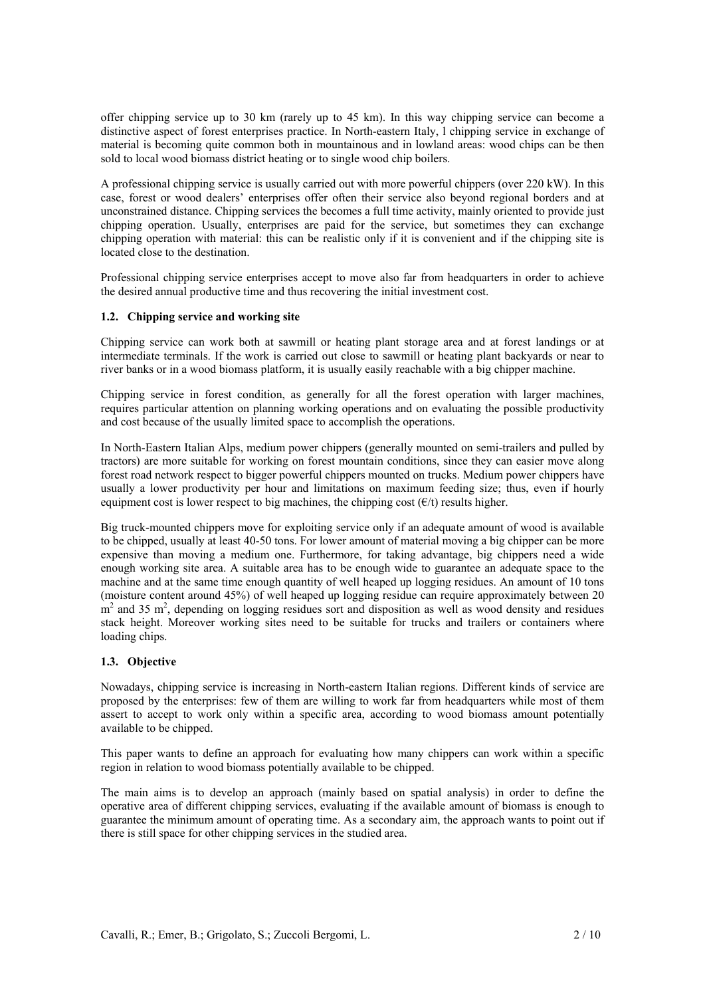offer chipping service up to 30 km (rarely up to 45 km). In this way chipping service can become a distinctive aspect of forest enterprises practice. In North-eastern Italy, l chipping service in exchange of material is becoming quite common both in mountainous and in lowland areas: wood chips can be then sold to local wood biomass district heating or to single wood chip boilers.

A professional chipping service is usually carried out with more powerful chippers (over 220 kW). In this case, forest or wood dealers' enterprises offer often their service also beyond regional borders and at unconstrained distance. Chipping services the becomes a full time activity, mainly oriented to provide just chipping operation. Usually, enterprises are paid for the service, but sometimes they can exchange chipping operation with material: this can be realistic only if it is convenient and if the chipping site is located close to the destination.

Professional chipping service enterprises accept to move also far from headquarters in order to achieve the desired annual productive time and thus recovering the initial investment cost.

## **1.2. Chipping service and working site**

Chipping service can work both at sawmill or heating plant storage area and at forest landings or at intermediate terminals. If the work is carried out close to sawmill or heating plant backyards or near to river banks or in a wood biomass platform, it is usually easily reachable with a big chipper machine.

Chipping service in forest condition, as generally for all the forest operation with larger machines, requires particular attention on planning working operations and on evaluating the possible productivity and cost because of the usually limited space to accomplish the operations.

In North-Eastern Italian Alps, medium power chippers (generally mounted on semi-trailers and pulled by tractors) are more suitable for working on forest mountain conditions, since they can easier move along forest road network respect to bigger powerful chippers mounted on trucks. Medium power chippers have usually a lower productivity per hour and limitations on maximum feeding size; thus, even if hourly equipment cost is lower respect to big machines, the chipping cost  $(\epsilon/t)$  results higher.

Big truck-mounted chippers move for exploiting service only if an adequate amount of wood is available to be chipped, usually at least 40-50 tons. For lower amount of material moving a big chipper can be more expensive than moving a medium one. Furthermore, for taking advantage, big chippers need a wide enough working site area. A suitable area has to be enough wide to guarantee an adequate space to the machine and at the same time enough quantity of well heaped up logging residues. An amount of 10 tons (moisture content around 45%) of well heaped up logging residue can require approximately between 20  $m<sup>2</sup>$  and 35 m<sup>2</sup>, depending on logging residues sort and disposition as well as wood density and residues stack height. Moreover working sites need to be suitable for trucks and trailers or containers where loading chips.

## **1.3. Objective**

Nowadays, chipping service is increasing in North-eastern Italian regions. Different kinds of service are proposed by the enterprises: few of them are willing to work far from headquarters while most of them assert to accept to work only within a specific area, according to wood biomass amount potentially available to be chipped.

This paper wants to define an approach for evaluating how many chippers can work within a specific region in relation to wood biomass potentially available to be chipped.

The main aims is to develop an approach (mainly based on spatial analysis) in order to define the operative area of different chipping services, evaluating if the available amount of biomass is enough to guarantee the minimum amount of operating time. As a secondary aim, the approach wants to point out if there is still space for other chipping services in the studied area.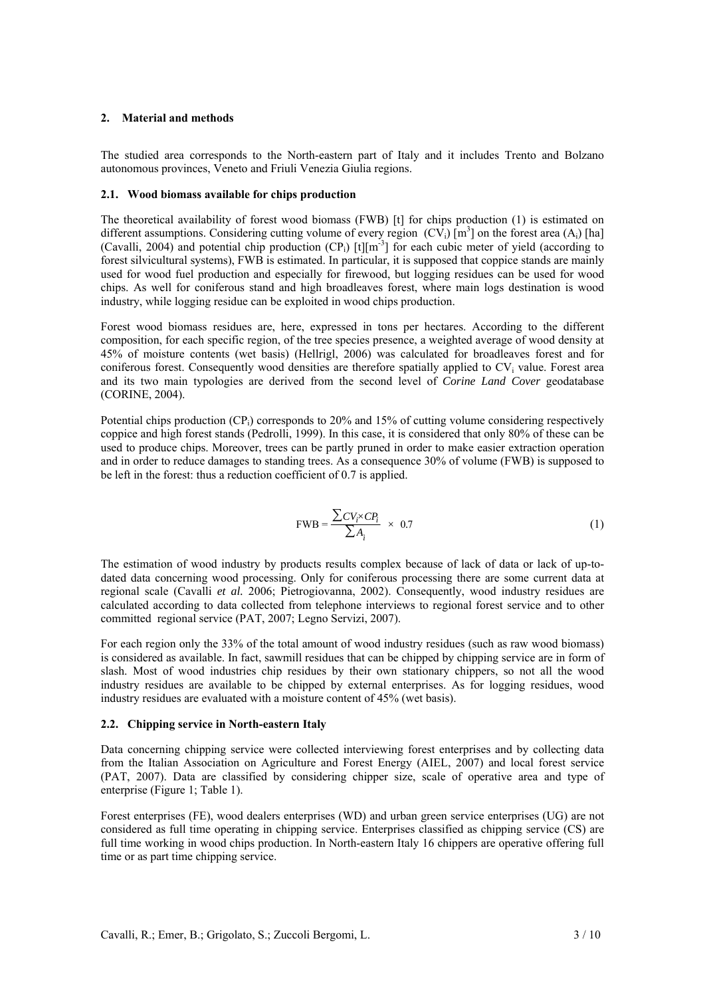## **2. Material and methods**

The studied area corresponds to the North-eastern part of Italy and it includes Trento and Bolzano autonomous provinces, Veneto and Friuli Venezia Giulia regions.

## **2.1. Wood biomass available for chips production**

The theoretical availability of forest wood biomass (FWB) [t] for chips production (1) is estimated on different assumptions. Considering cutting volume of every region  $(CV_i)$  [m<sup>3</sup>] on the forest area  $(A_i)$  [ha] (Cavalli, 2004) and potential chip production (CP<sub>i</sub>) [t][m<sup>-3</sup>] for each cubic meter of yield (according to forest silvicultural systems), FWB is estimated. In particular, it is supposed that coppice stands are mainly used for wood fuel production and especially for firewood, but logging residues can be used for wood chips. As well for coniferous stand and high broadleaves forest, where main logs destination is wood industry, while logging residue can be exploited in wood chips production.

Forest wood biomass residues are, here, expressed in tons per hectares. According to the different composition, for each specific region, of the tree species presence, a weighted average of wood density at 45% of moisture contents (wet basis) (Hellrigl, 2006) was calculated for broadleaves forest and for coniferous forest. Consequently wood densities are therefore spatially applied to  $CV_i$  value. Forest area and its two main typologies are derived from the second level of *Corine Land Cover* geodatabase (CORINE, 2004).

Potential chips production (CP<sub>i</sub>) corresponds to 20% and 15% of cutting volume considering respectively coppice and high forest stands (Pedrolli, 1999). In this case, it is considered that only 80% of these can be used to produce chips. Moreover, trees can be partly pruned in order to make easier extraction operation and in order to reduce damages to standing trees. As a consequence 30% of volume (FWB) is supposed to be left in the forest: thus a reduction coefficient of 0.7 is applied.

$$
\text{FWB} = \frac{\sum CV_i \times CP_i}{\sum A_i} \times 0.7 \tag{1}
$$

The estimation of wood industry by products results complex because of lack of data or lack of up-todated data concerning wood processing. Only for coniferous processing there are some current data at regional scale (Cavalli *et al.* 2006; Pietrogiovanna, 2002). Consequently, wood industry residues are calculated according to data collected from telephone interviews to regional forest service and to other committed regional service (PAT, 2007; Legno Servizi, 2007).

For each region only the 33% of the total amount of wood industry residues (such as raw wood biomass) is considered as available. In fact, sawmill residues that can be chipped by chipping service are in form of slash. Most of wood industries chip residues by their own stationary chippers, so not all the wood industry residues are available to be chipped by external enterprises. As for logging residues, wood industry residues are evaluated with a moisture content of 45% (wet basis).

## **2.2. Chipping service in North-eastern Italy**

Data concerning chipping service were collected interviewing forest enterprises and by collecting data from the Italian Association on Agriculture and Forest Energy (AIEL, 2007) and local forest service (PAT, 2007). Data are classified by considering chipper size, scale of operative area and type of enterprise (Figure 1; Table 1).

Forest enterprises (FE), wood dealers enterprises (WD) and urban green service enterprises (UG) are not considered as full time operating in chipping service. Enterprises classified as chipping service (CS) are full time working in wood chips production. In North-eastern Italy 16 chippers are operative offering full time or as part time chipping service.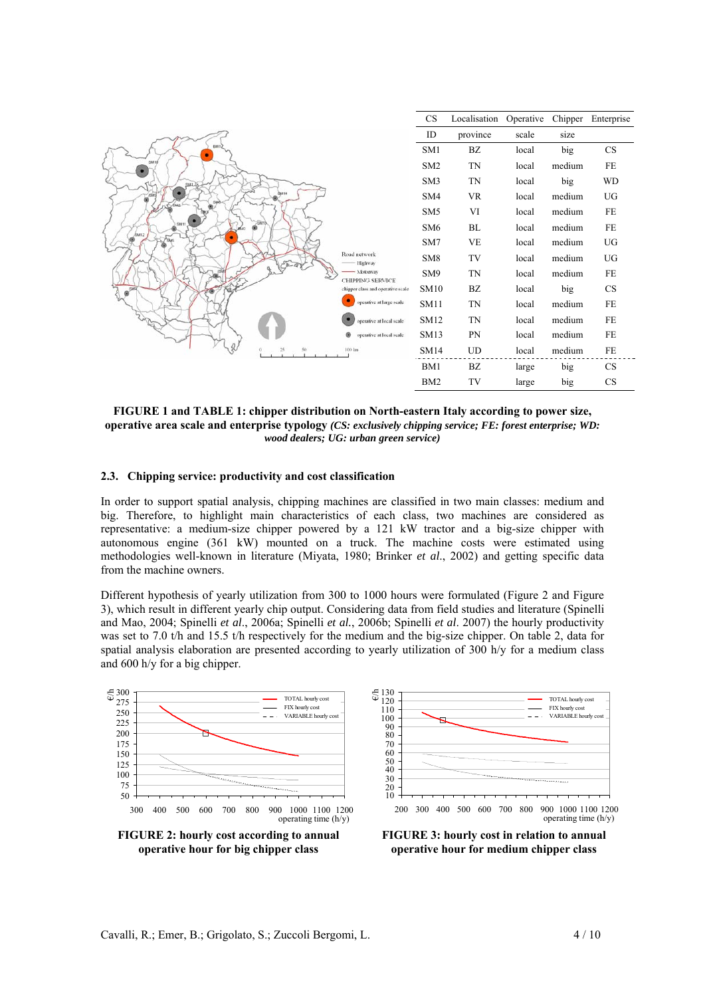| <b>CS</b><br>Localisation<br>Operative<br>Chipper                             | Enterprise |
|-------------------------------------------------------------------------------|------------|
| ID<br>province<br>scale<br>size                                               |            |
| <b>BM1</b><br>SM1<br>BZ<br>big<br>local<br>٠                                  | CS         |
| State<br>SM <sub>2</sub><br><b>TN</b><br>medium<br>local                      | FE         |
| <b>TN</b><br>SM <sub>3</sub><br>big<br>local<br>SMA                           | <b>WD</b>  |
| <b>SM14</b><br>SM4<br><b>VR</b><br>medium<br>local                            | UG         |
| SM <sub>5</sub><br>VI<br>medium<br>local                                      | FE         |
| SMTO<br>SM <sub>6</sub><br>BL<br>medium<br>local<br><b>Ламта</b>              | FE         |
| SM7<br><b>VE</b><br>medium<br>local                                           | UG         |
| Road network<br>SM <sub>8</sub><br>TV<br>medium<br>local<br>Highway           | UG         |
| Motorway<br><b>TN</b><br>SM9<br>medium<br>local<br><b>CHIPPING SERVICE</b>    | FE         |
| <b>SM10</b><br>BZ<br>big<br>local<br>SMA<br>chipper class and operative scale | CS         |
| ٠<br>operative at large scale<br><b>TN</b><br><b>SM11</b><br>medium<br>local  | FE         |
| <b>TN</b><br>SM12<br>medium<br>local<br>operative at local scale              | FE         |
| <b>SM13</b><br>PN<br>medium<br>local<br>operative at local scale              | FE         |
| 100 km<br><b>SM14</b><br>UD<br>medium<br>local                                | FE         |
| BM1<br>BZ<br>big<br>large                                                     | CS         |
| TV<br>BM <sub>2</sub><br>big<br>large                                         | CS         |

**FIGURE 1 and TABLE 1: chipper distribution on North-eastern Italy according to power size, operative area scale and enterprise typology** *(CS: exclusively chipping service; FE: forest enterprise; WD: wood dealers; UG: urban green service)* 

#### **2.3. Chipping service: productivity and cost classification**

In order to support spatial analysis, chipping machines are classified in two main classes: medium and big. Therefore, to highlight main characteristics of each class, two machines are considered as representative: a medium-size chipper powered by a 121 kW tractor and a big-size chipper with autonomous engine (361 kW) mounted on a truck. The machine costs were estimated using methodologies well-known in literature (Miyata, 1980; Brinker *et al*., 2002) and getting specific data from the machine owners.

Different hypothesis of yearly utilization from 300 to 1000 hours were formulated (Figure 2 and Figure 3), which result in different yearly chip output. Considering data from field studies and literature (Spinelli and Mao, 2004; Spinelli *et al*., 2006a; Spinelli *et al.*, 2006b; Spinelli *et al*. 2007) the hourly productivity was set to 7.0 t/h and 15.5 t/h respectively for the medium and the big-size chipper. On table 2, data for spatial analysis elaboration are presented according to yearly utilization of 300 h/y for a medium class and 600 h/y for a big chipper.

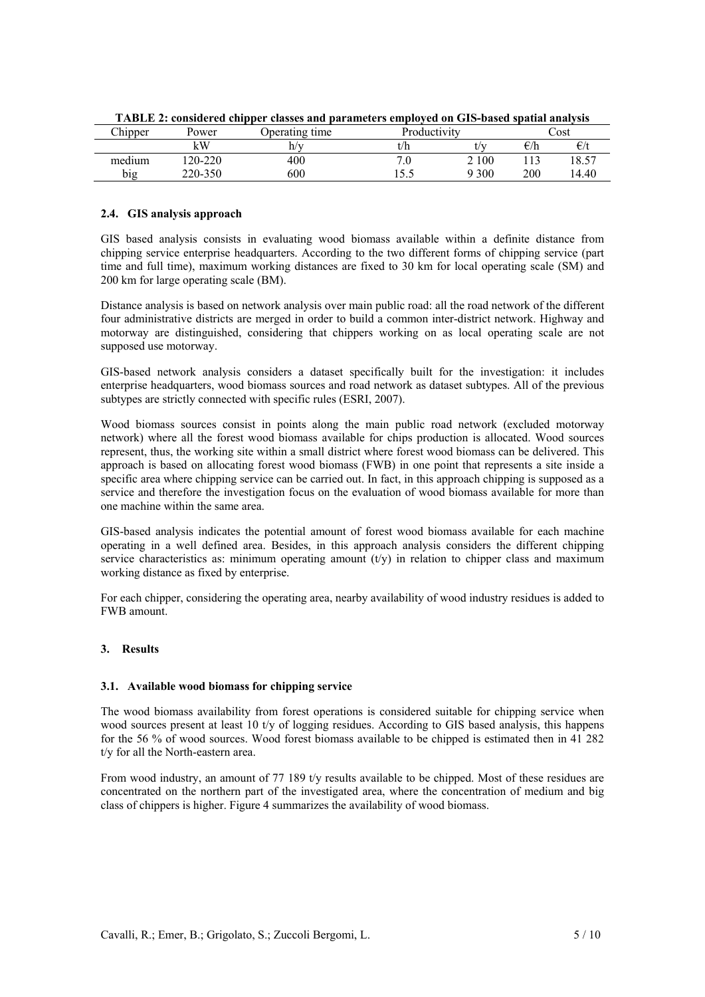|         |         | . .            |              |       |              |              |  |
|---------|---------|----------------|--------------|-------|--------------|--------------|--|
| Chipper | Power   | Deerating time | Productivity |       |              | ∠ost         |  |
|         | кW      |                | t/h          |       | $\epsilon/h$ | $\epsilon/t$ |  |
| medium  | 120-220 | 400            |              | 2 100 |              | 18.57        |  |
| big     | 220-350 | 600            | ب            | 9 300 | 200          | 14.40        |  |

**TABLE 2: considered chipper classes and parameters employed on GIS-based spatial analysis** 

## **2.4. GIS analysis approach**

GIS based analysis consists in evaluating wood biomass available within a definite distance from chipping service enterprise headquarters. According to the two different forms of chipping service (part time and full time), maximum working distances are fixed to 30 km for local operating scale (SM) and 200 km for large operating scale (BM).

Distance analysis is based on network analysis over main public road: all the road network of the different four administrative districts are merged in order to build a common inter-district network. Highway and motorway are distinguished, considering that chippers working on as local operating scale are not supposed use motorway.

GIS-based network analysis considers a dataset specifically built for the investigation: it includes enterprise headquarters, wood biomass sources and road network as dataset subtypes. All of the previous subtypes are strictly connected with specific rules (ESRI, 2007).

Wood biomass sources consist in points along the main public road network (excluded motorway network) where all the forest wood biomass available for chips production is allocated. Wood sources represent, thus, the working site within a small district where forest wood biomass can be delivered. This approach is based on allocating forest wood biomass (FWB) in one point that represents a site inside a specific area where chipping service can be carried out. In fact, in this approach chipping is supposed as a service and therefore the investigation focus on the evaluation of wood biomass available for more than one machine within the same area.

GIS-based analysis indicates the potential amount of forest wood biomass available for each machine operating in a well defined area. Besides, in this approach analysis considers the different chipping service characteristics as: minimum operating amount  $(t/v)$  in relation to chipper class and maximum working distance as fixed by enterprise.

For each chipper, considering the operating area, nearby availability of wood industry residues is added to FWB amount.

## **3. Results**

## **3.1. Available wood biomass for chipping service**

The wood biomass availability from forest operations is considered suitable for chipping service when wood sources present at least 10 t/y of logging residues. According to GIS based analysis, this happens for the 56 % of wood sources. Wood forest biomass available to be chipped is estimated then in 41 282 t/y for all the North-eastern area.

From wood industry, an amount of 77 189 t/v results available to be chipped. Most of these residues are concentrated on the northern part of the investigated area, where the concentration of medium and big class of chippers is higher. Figure 4 summarizes the availability of wood biomass.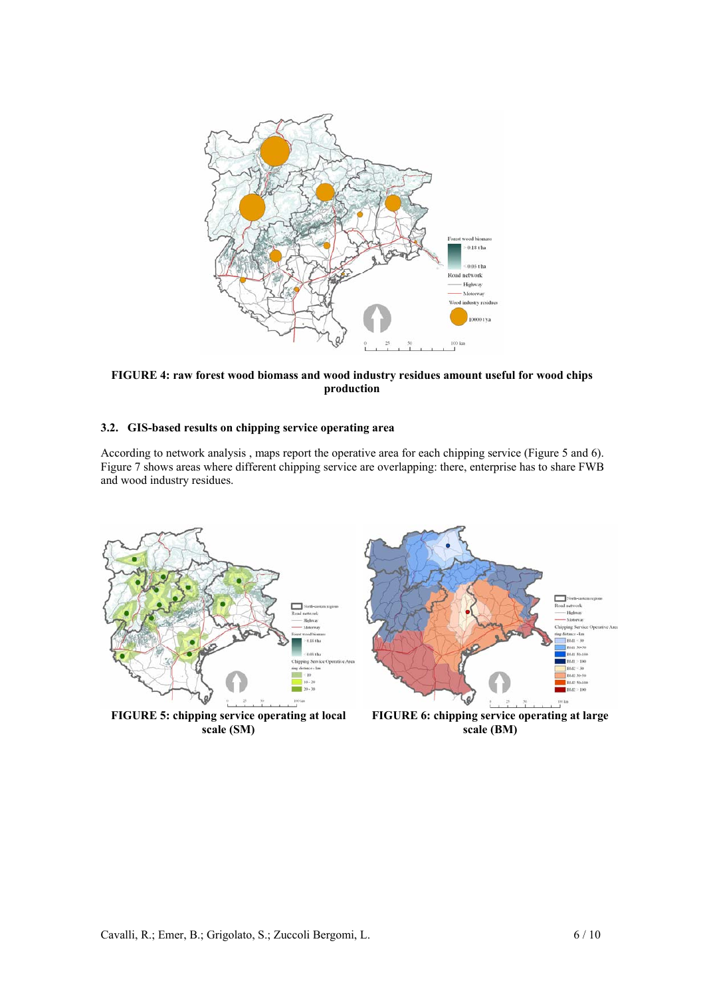

**FIGURE 4: raw forest wood biomass and wood industry residues amount useful for wood chips production** 

## **3.2. GIS-based results on chipping service operating area**

According to network analysis , maps report the operative area for each chipping service (Figure 5 and 6). Figure 7 shows areas where different chipping service are overlapping: there, enterprise has to share FWB and wood industry residues.

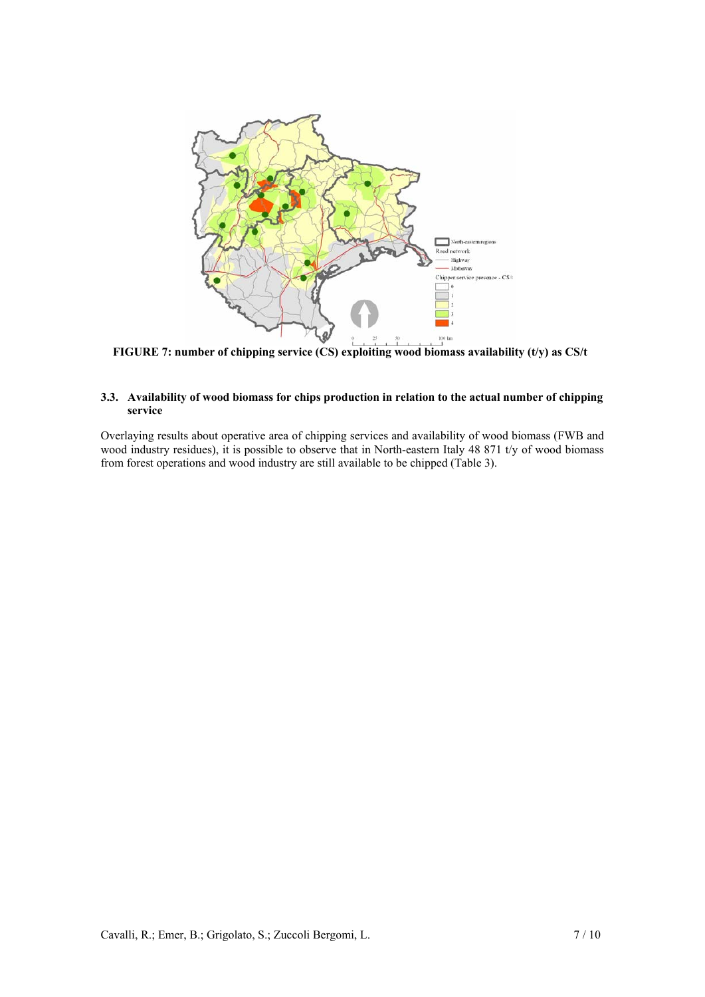

**FIGURE 7: number of chipping service (CS) exploiting wood biomass availability (t/y) as CS/t** 

## **3.3. Availability of wood biomass for chips production in relation to the actual number of chipping service**

Overlaying results about operative area of chipping services and availability of wood biomass (FWB and wood industry residues), it is possible to observe that in North-eastern Italy 48 871 t/y of wood biomass from forest operations and wood industry are still available to be chipped (Table 3).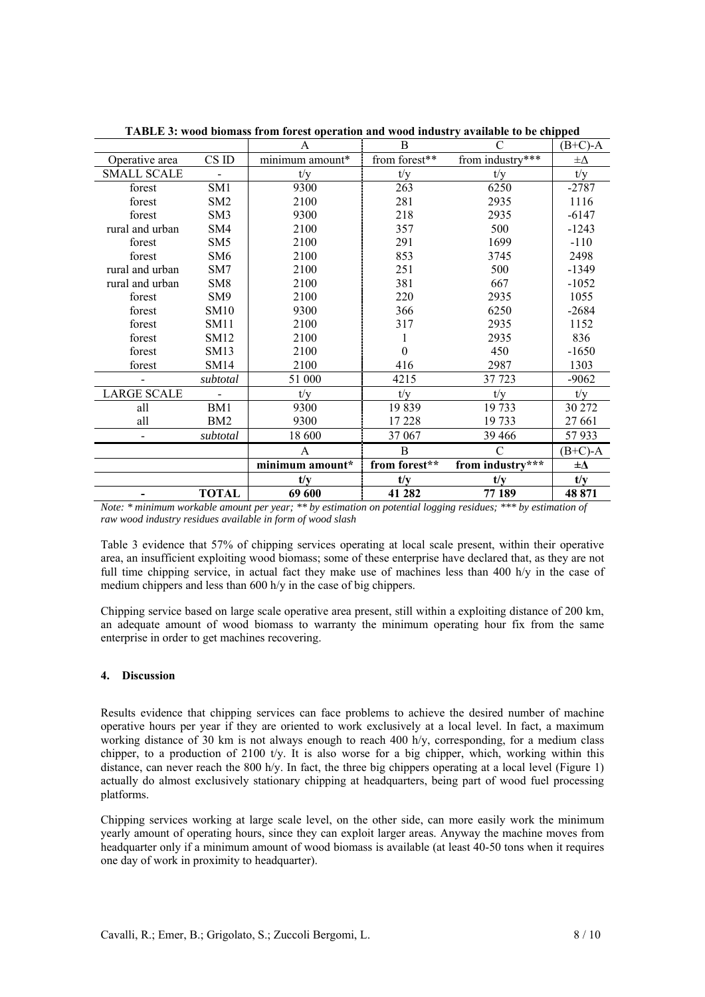|                    |                 | A               | B             | C                | $(B+C)-A$    |
|--------------------|-----------------|-----------------|---------------|------------------|--------------|
| Operative area     | CS ID           | minimum amount* | from forest** | from industry*** | $\pm \Delta$ |
| <b>SMALL SCALE</b> |                 | t/v             | t/v           | t/v              | t/v          |
| forest             | SM1             | 9300            | 263           | 6250             | $-2787$      |
| forest             | SM2             | 2100            | 281           | 2935             | 1116         |
| forest             | SM <sub>3</sub> | 9300            | 218           | 2935             | $-6147$      |
| rural and urban    | SM4             | 2100            | 357           | 500              | $-1243$      |
| forest             | SM5             | 2100            | 291           | 1699             | $-110$       |
| forest             | SM <sub>6</sub> | 2100            | 853           | 3745             | 2498         |
| rural and urban    | SM7             | 2100            | 251           | 500              | $-1349$      |
| rural and urban    | SM <sub>8</sub> | 2100            | 381           | 667              | $-1052$      |
| forest             | SM9             | 2100            | 220           | 2935             | 1055         |
| forest             | <b>SM10</b>     | 9300            | 366           | 6250             | $-2684$      |
| forest             | <b>SM11</b>     | 2100            | 317           | 2935             | 1152         |
| forest             | SM12            | 2100            |               | 2935             | 836          |
| forest             | SM13            | 2100            | 0             | 450              | $-1650$      |
| forest             | SM14            | 2100            | 416           | 2987             | 1303         |
|                    | subtotal        | 51 000          | 4215          | 37 723           | $-9062$      |
| <b>LARGE SCALE</b> |                 | t/v             | t/v           | t/v              | t/y          |
| all                | BM1             | 9300            | 19839         | 19 733           | 30 272       |
| all                | BM <sub>2</sub> | 9300            | 17 228        | 19 733           | 27 661       |
|                    | subtotal        | 18 600          | 37 067        | 39 4 66          | 57933        |
|                    |                 | A               | B             |                  | $(B+C)-A$    |
|                    |                 | minimum amount* | from forest** | from industry*** | $\pm \Delta$ |
|                    |                 | t/y             | t/y           | t/y              | t/y          |
|                    | <b>TOTAL</b>    | 69 600          | 41 282        | 77 189           | 48 871       |

**TABLE 3: wood biomass from forest operation and wood industry available to be chipped** 

*Note: \* minimum workable amount per year; \*\* by estimation on potential logging residues; \*\*\* by estimation of raw wood industry residues available in form of wood slash* 

Table 3 evidence that 57% of chipping services operating at local scale present, within their operative area, an insufficient exploiting wood biomass; some of these enterprise have declared that, as they are not full time chipping service, in actual fact they make use of machines less than 400 h/y in the case of medium chippers and less than 600 h/y in the case of big chippers.

Chipping service based on large scale operative area present, still within a exploiting distance of 200 km, an adequate amount of wood biomass to warranty the minimum operating hour fix from the same enterprise in order to get machines recovering.

## **4. Discussion**

Results evidence that chipping services can face problems to achieve the desired number of machine operative hours per year if they are oriented to work exclusively at a local level. In fact, a maximum working distance of 30 km is not always enough to reach 400 h/y, corresponding, for a medium class chipper, to a production of 2100 t/y. It is also worse for a big chipper, which, working within this distance, can never reach the 800 h/y. In fact, the three big chippers operating at a local level (Figure 1) actually do almost exclusively stationary chipping at headquarters, being part of wood fuel processing platforms.

Chipping services working at large scale level, on the other side, can more easily work the minimum yearly amount of operating hours, since they can exploit larger areas. Anyway the machine moves from headquarter only if a minimum amount of wood biomass is available (at least 40-50 tons when it requires one day of work in proximity to headquarter).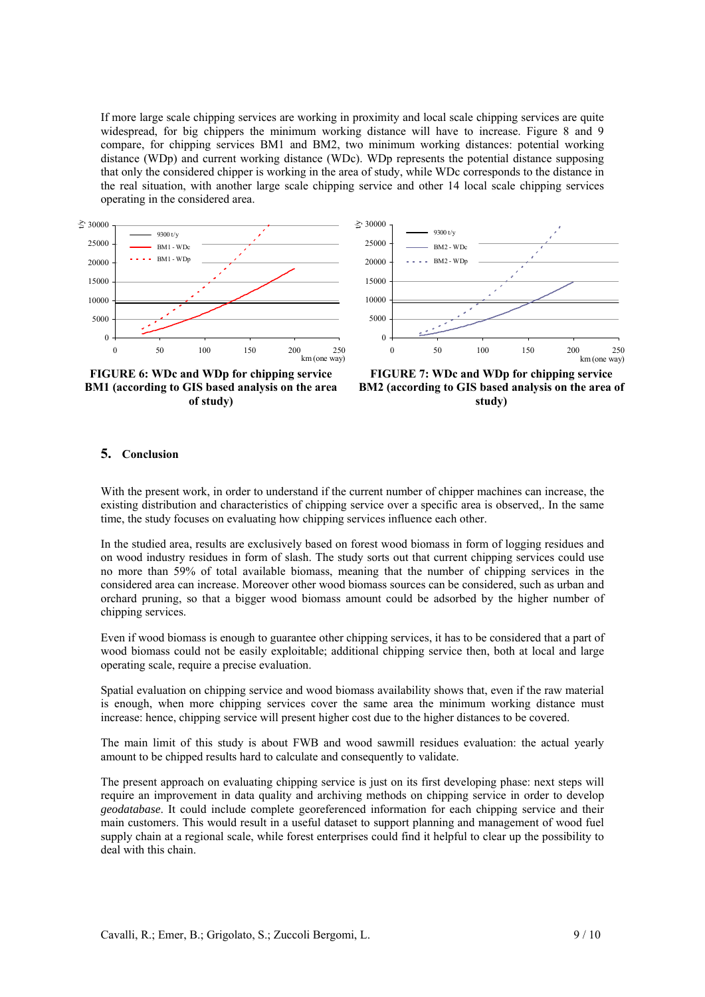If more large scale chipping services are working in proximity and local scale chipping services are quite widespread, for big chippers the minimum working distance will have to increase. Figure 8 and 9 compare, for chipping services BM1 and BM2, two minimum working distances: potential working distance (WDp) and current working distance (WDc). WDp represents the potential distance supposing that only the considered chipper is working in the area of study, while WDc corresponds to the distance in the real situation, with another large scale chipping service and other 14 local scale chipping services operating in the considered area.





**FIGURE 6: WDc and WDp for chipping service BM1 (according to GIS based analysis on the area of study)** 



## **5. Conclusion**

With the present work, in order to understand if the current number of chipper machines can increase, the existing distribution and characteristics of chipping service over a specific area is observed,. In the same time, the study focuses on evaluating how chipping services influence each other.

In the studied area, results are exclusively based on forest wood biomass in form of logging residues and on wood industry residues in form of slash. The study sorts out that current chipping services could use no more than 59% of total available biomass, meaning that the number of chipping services in the considered area can increase. Moreover other wood biomass sources can be considered, such as urban and orchard pruning, so that a bigger wood biomass amount could be adsorbed by the higher number of chipping services.

Even if wood biomass is enough to guarantee other chipping services, it has to be considered that a part of wood biomass could not be easily exploitable; additional chipping service then, both at local and large operating scale, require a precise evaluation.

Spatial evaluation on chipping service and wood biomass availability shows that, even if the raw material is enough, when more chipping services cover the same area the minimum working distance must increase: hence, chipping service will present higher cost due to the higher distances to be covered.

The main limit of this study is about FWB and wood sawmill residues evaluation: the actual yearly amount to be chipped results hard to calculate and consequently to validate.

The present approach on evaluating chipping service is just on its first developing phase: next steps will require an improvement in data quality and archiving methods on chipping service in order to develop *geodatabase*. It could include complete georeferenced information for each chipping service and their main customers. This would result in a useful dataset to support planning and management of wood fuel supply chain at a regional scale, while forest enterprises could find it helpful to clear up the possibility to deal with this chain.